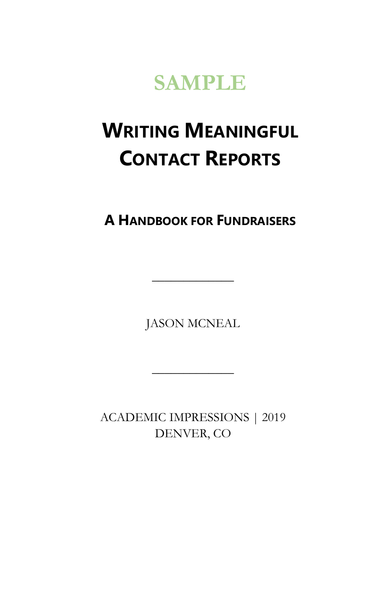

# **WRITING MEANINGFUL CONTACT REPORTS**

**A HANDBOOK FOR FUNDRAISERS**

JASON MCNEAL

 $\overline{\phantom{a}}$ 

 $\overline{\phantom{a}}$ 

ACADEMIC IMPRESSIONS | 2019 DENVER, CO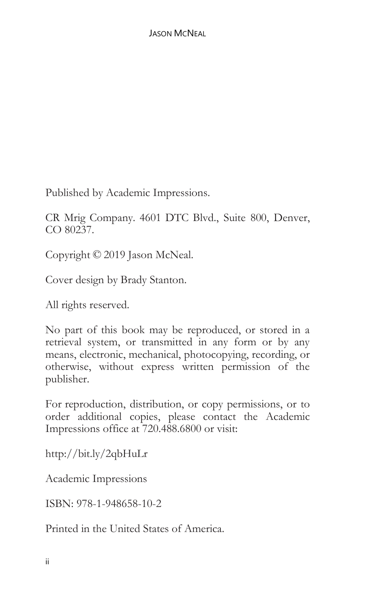Published by Academic Impressions.

CR Mrig Company. 4601 DTC Blvd., Suite 800, Denver, CO 80237.

Copyright © 2019 Jason McNeal.

Cover design by Brady Stanton.

All rights reserved.

No part of this book may be reproduced, or stored in a retrieval system, or transmitted in any form or by any means, electronic, mechanical, photocopying, recording, or otherwise, without express written permission of the publisher.

For reproduction, distribution, or copy permissions, or to order additional copies, please contact the Academic Impressions office at 720.488.6800 or visit:

http://bit.ly/2qbHuLr

Academic Impressions

ISBN: 978-1-948658-10-2

Printed in the United States of America.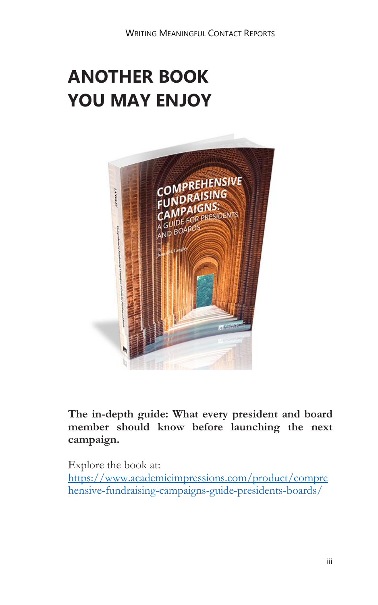## **ANOTHER BOOK YOU MAY ENJOY**



**The in-depth guide: What every president and board member should know before launching the next campaign.**

Explore the book at:

[https://www.academicimpressions.com/product/compre](https://www.academicimpressions.com/product/comprehensive-fundraising-campaigns-guide-presidents-boards/) [hensive-fundraising-campaigns-guide-presidents-boards/](https://www.academicimpressions.com/product/comprehensive-fundraising-campaigns-guide-presidents-boards/)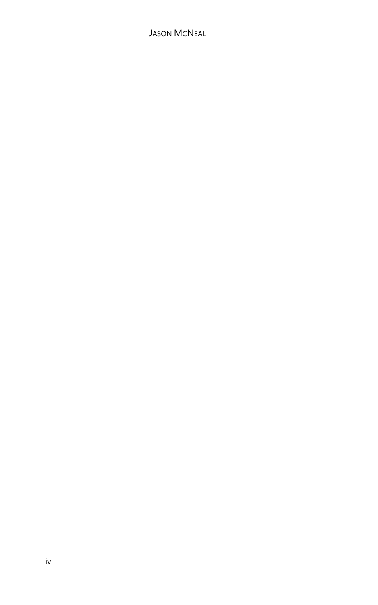JASON MCNEAL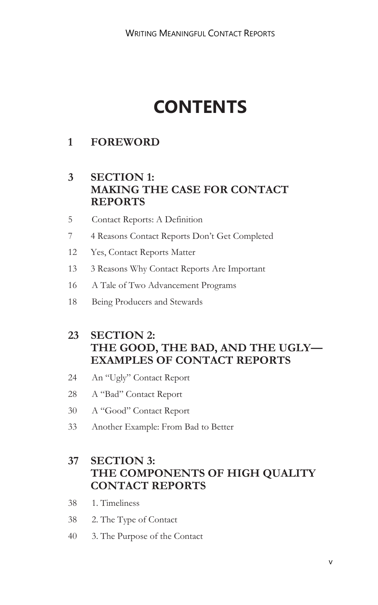## **CONTENTS**

### **FOREWORD**

### **SECTION 1: MAKING THE CASE FOR CONTACT REPORTS**

- Contact Reports: A Definition
- 4 Reasons Contact Reports Don't Get Completed
- Yes, Contact Reports Matter
- 3 Reasons Why Contact Reports Are Important
- A Tale of Two Advancement Programs
- Being Producers and Stewards

### **SECTION 2: THE GOOD, THE BAD, AND THE UGLY— EXAMPLES OF CONTACT REPORTS**

- An "Ugly" Contact Report
- A "Bad" Contact Report
- A "Good" Contact Report
- Another Example: From Bad to Better

### **SECTION 3: THE COMPONENTS OF HIGH QUALITY CONTACT REPORTS**

- 1. Timeliness
- 2. The Type of Contact
- 3. The Purpose of the Contact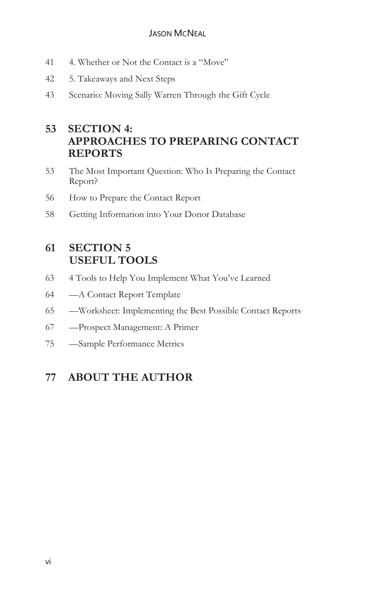#### JASON MCNEAL

- 41 4. Whether or Not the Contact is a "Move"
- 5. Takeaways and Next Steps
- Scenario: Moving Sally Warren Through the Gift Cycle

### **SECTION 4: APPROACHES TO PREPARING CONTACT REPORTS**

- The Most Important Question: Who Is Preparing the Contact Report?
- How to Prepare the Contact Report
- Getting Information into Your Donor Database

### **SECTION 5 USEFUL TOOLS**

- 4 Tools to Help You Implement What You've Learned
- —A Contact Report Template
- —Worksheet: Implementing the Best Possible Contact Reports
- —Prospect Management: A Primer
- —Sample Performance Metrics

### **ABOUT THE AUTHOR**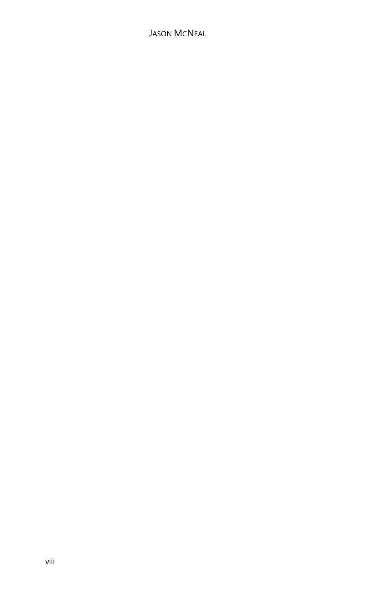JASON MCNEAL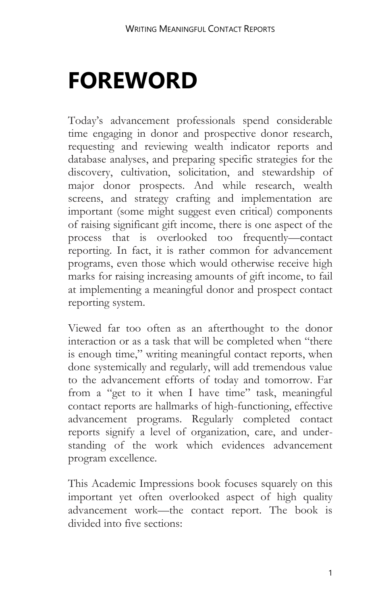# **FOREWORD**

Today's advancement professionals spend considerable time engaging in donor and prospective donor research, requesting and reviewing wealth indicator reports and database analyses, and preparing specific strategies for the discovery, cultivation, solicitation, and stewardship of major donor prospects. And while research, wealth screens, and strategy crafting and implementation are important (some might suggest even critical) components of raising significant gift income, there is one aspect of the process that is overlooked too frequently—contact reporting. In fact, it is rather common for advancement programs, even those which would otherwise receive high marks for raising increasing amounts of gift income, to fail at implementing a meaningful donor and prospect contact reporting system.

Viewed far too often as an afterthought to the donor interaction or as a task that will be completed when "there is enough time," writing meaningful contact reports, when done systemically and regularly, will add tremendous value to the advancement efforts of today and tomorrow. Far from a "get to it when I have time" task, meaningful contact reports are hallmarks of high-functioning, effective advancement programs. Regularly completed contact reports signify a level of organization, care, and understanding of the work which evidences advancement program excellence.

This Academic Impressions book focuses squarely on this important yet often overlooked aspect of high quality advancement work—the contact report. The book is divided into five sections: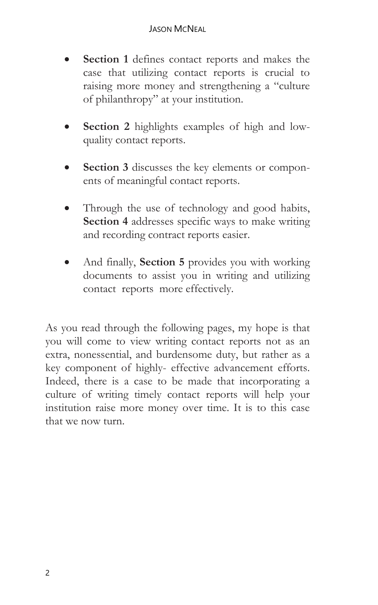- **Section 1** defines contact reports and makes the case that utilizing contact reports is crucial to raising more money and strengthening a "culture of philanthropy" at your institution.
- **Section 2** highlights examples of high and lowquality contact reports.
- Section 3 discusses the key elements or components of meaningful contact reports.
- Through the use of technology and good habits, **Section 4** addresses specific ways to make writing and recording contract reports easier.
- And finally, **Section 5** provides you with working documents to assist you in writing and utilizing contact reports more effectively.

As you read through the following pages, my hope is that you will come to view writing contact reports not as an extra, nonessential, and burdensome duty, but rather as a key component of highly- effective advancement efforts. Indeed, there is a case to be made that incorporating a culture of writing timely contact reports will help your institution raise more money over time. It is to this case that we now turn.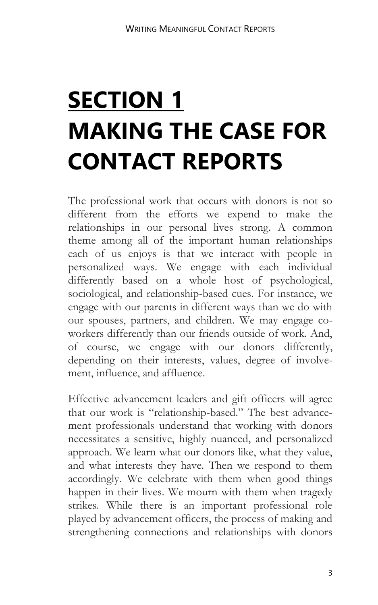# **SECTION 1 MAKING THE CASE FOR CONTACT REPORTS**

The professional work that occurs with donors is not so different from the efforts we expend to make the relationships in our personal lives strong. A common theme among all of the important human relationships each of us enjoys is that we interact with people in personalized ways. We engage with each individual differently based on a whole host of psychological, sociological, and relationship-based cues. For instance, we engage with our parents in different ways than we do with our spouses, partners, and children. We may engage coworkers differently than our friends outside of work. And, of course, we engage with our donors differently, depending on their interests, values, degree of involvement, influence, and affluence.

Effective advancement leaders and gift officers will agree that our work is "relationship-based." The best advancement professionals understand that working with donors necessitates a sensitive, highly nuanced, and personalized approach. We learn what our donors like, what they value, and what interests they have. Then we respond to them accordingly. We celebrate with them when good things happen in their lives. We mourn with them when tragedy strikes. While there is an important professional role played by advancement officers, the process of making and strengthening connections and relationships with donors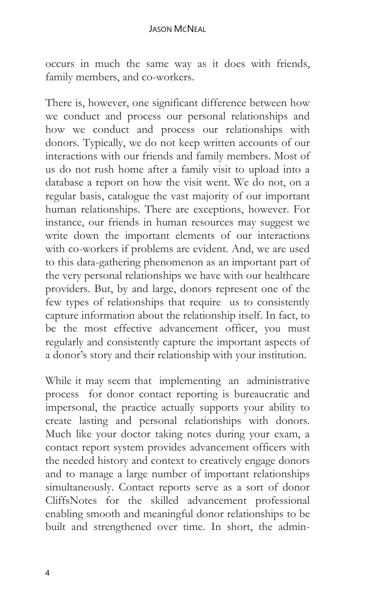occurs in much the same way as it does with friends, family members, and co-workers.

There is, however, one significant difference between how we conduct and process our personal relationships and how we conduct and process our relationships with donors. Typically, we do not keep written accounts of our interactions with our friends and family members. Most of us do not rush home after a family visit to upload into a database a report on how the visit went. We do not, on a regular basis, catalogue the vast majority of our important human relationships. There are exceptions, however. For instance, our friends in human resources may suggest we write down the important elements of our interactions with co-workers if problems are evident. And, we are used to this data-gathering phenomenon as an important part of the very personal relationships we have with our healthcare providers. But, by and large, donors represent one of the few types of relationships that require us to consistently capture information about the relationship itself. In fact, to be the most effective advancement officer, you must regularly and consistently capture the important aspects of a donor's story and their relationship with your institution.

While it may seem that implementing an administrative process for donor contact reporting is bureaucratic and impersonal, the practice actually supports your ability to create lasting and personal relationships with donors. Much like your doctor taking notes during your exam, a contact report system provides advancement officers with the needed history and context to creatively engage donors and to manage a large number of important relationships simultaneously. Contact reports serve as a sort of donor CliffsNotes for the skilled advancement professional enabling smooth and meaningful donor relationships to be built and strengthened over time. In short, the admin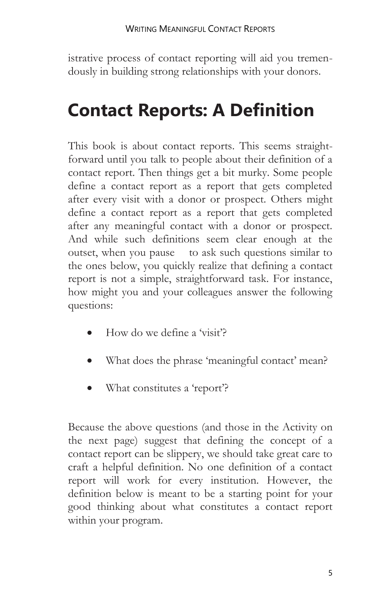istrative process of contact reporting will aid you tremendously in building strong relationships with your donors.

## **Contact Reports: A Definition**

This book is about contact reports. This seems straightforward until you talk to people about their definition of a contact report. Then things get a bit murky. Some people define a contact report as a report that gets completed after every visit with a donor or prospect. Others might define a contact report as a report that gets completed after any meaningful contact with a donor or prospect. And while such definitions seem clear enough at the outset, when you pause to ask such questions similar to the ones below, you quickly realize that defining a contact report is not a simple, straightforward task. For instance, how might you and your colleagues answer the following questions:

- How do we define a 'visit'?
- What does the phrase 'meaningful contact' mean?
- What constitutes a 'report'?

Because the above questions (and those in the Activity on the next page) suggest that defining the concept of a contact report can be slippery, we should take great care to craft a helpful definition. No one definition of a contact report will work for every institution. However, the definition below is meant to be a starting point for your good thinking about what constitutes a contact report within your program.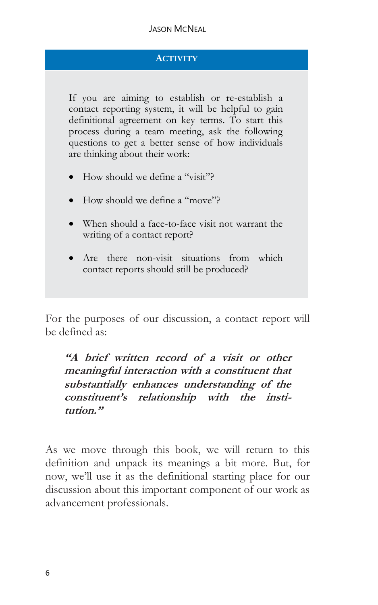#### **ACTIVITY**

If you are aiming to establish or re-establish a contact reporting system, it will be helpful to gain definitional agreement on key terms. To start this process during a team meeting, ask the following questions to get a better sense of how individuals are thinking about their work:

- How should we define a "visit"?
- How should we define a "move"?
- When should a face-to-face visit not warrant the writing of a contact report?
- Are there non-visit situations from which contact reports should still be produced?

For the purposes of our discussion, a contact report will be defined as:

**"A brief written record of a visit or other meaningful interaction with a constituent that substantially enhances understanding of the constituent's relationship with the institution."**

As we move through this book, we will return to this definition and unpack its meanings a bit more. But, for now, we'll use it as the definitional starting place for our discussion about this important component of our work as advancement professionals.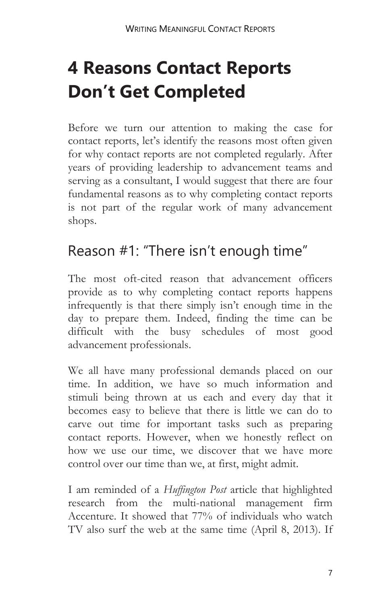## **4 Reasons Contact Reports Don't Get Completed**

Before we turn our attention to making the case for contact reports, let's identify the reasons most often given for why contact reports are not completed regularly. After years of providing leadership to advancement teams and serving as a consultant, I would suggest that there are four fundamental reasons as to why completing contact reports is not part of the regular work of many advancement shops.

### Reason #1: "There isn't enough time"

The most oft-cited reason that advancement officers provide as to why completing contact reports happens infrequently is that there simply isn't enough time in the day to prepare them. Indeed, finding the time can be difficult with the busy schedules of most good advancement professionals.

We all have many professional demands placed on our time. In addition, we have so much information and stimuli being thrown at us each and every day that it becomes easy to believe that there is little we can do to carve out time for important tasks such as preparing contact reports. However, when we honestly reflect on how we use our time, we discover that we have more control over our time than we, at first, might admit.

I am reminded of a *Huffington Post* article that highlighted research from the multi-national management firm Accenture. It showed that 77% of individuals who watch TV also surf the web at the same time (April 8, 2013). If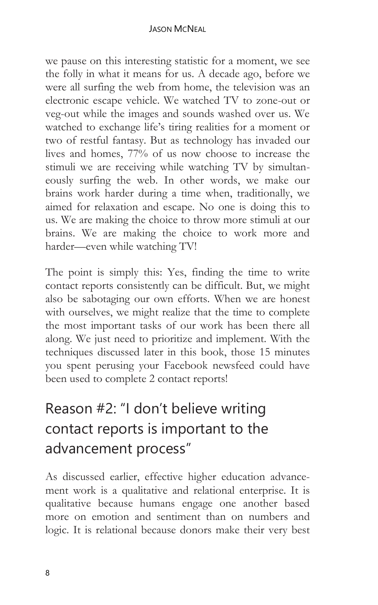we pause on this interesting statistic for a moment, we see the folly in what it means for us. A decade ago, before we were all surfing the web from home, the television was an electronic escape vehicle. We watched TV to zone-out or veg-out while the images and sounds washed over us. We watched to exchange life's tiring realities for a moment or two of restful fantasy. But as technology has invaded our lives and homes, 77% of us now choose to increase the stimuli we are receiving while watching TV by simultaneously surfing the web. In other words, we make our brains work harder during a time when, traditionally, we aimed for relaxation and escape. No one is doing this to us. We are making the choice to throw more stimuli at our brains. We are making the choice to work more and harder—even while watching TV!

The point is simply this: Yes, finding the time to write contact reports consistently can be difficult. But, we might also be sabotaging our own efforts. When we are honest with ourselves, we might realize that the time to complete the most important tasks of our work has been there all along. We just need to prioritize and implement. With the techniques discussed later in this book, those 15 minutes you spent perusing your Facebook newsfeed could have been used to complete 2 contact reports!

## Reason #2: "I don't believe writing contact reports is important to the advancement process"

As discussed earlier, effective higher education advancement work is a qualitative and relational enterprise. It is qualitative because humans engage one another based more on emotion and sentiment than on numbers and logic. It is relational because donors make their very best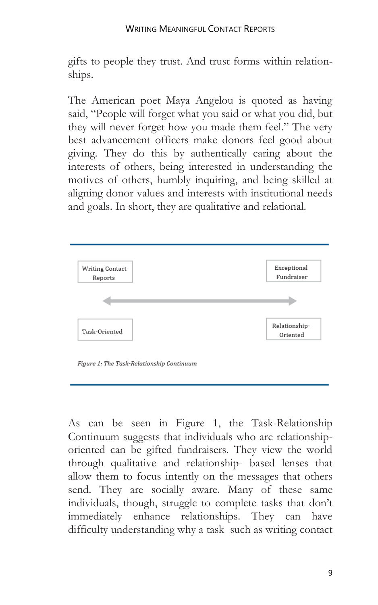gifts to people they trust. And trust forms within relationships.

The American poet Maya Angelou is quoted as having said, "People will forget what you said or what you did, but they will never forget how you made them feel." The very best advancement officers make donors feel good about giving. They do this by authentically caring about the interests of others, being interested in understanding the motives of others, humbly inquiring, and being skilled at aligning donor values and interests with institutional needs and goals. In short, they are qualitative and relational.



As can be seen in Figure 1, the Task-Relationship Continuum suggests that individuals who are relationshiporiented can be gifted fundraisers. They view the world through qualitative and relationship- based lenses that allow them to focus intently on the messages that others send. They are socially aware. Many of these same individuals, though, struggle to complete tasks that don't immediately enhance relationships. They can have difficulty understanding why a task such as writing contact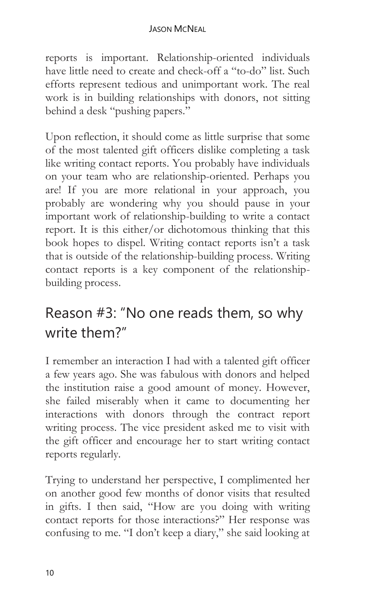reports is important. Relationship-oriented individuals have little need to create and check-off a "to-do" list. Such efforts represent tedious and unimportant work. The real work is in building relationships with donors, not sitting behind a desk "pushing papers."

Upon reflection, it should come as little surprise that some of the most talented gift officers dislike completing a task like writing contact reports. You probably have individuals on your team who are relationship-oriented. Perhaps you are! If you are more relational in your approach, you probably are wondering why you should pause in your important work of relationship-building to write a contact report. It is this either/or dichotomous thinking that this book hopes to dispel. Writing contact reports isn't a task that is outside of the relationship-building process. Writing contact reports is a key component of the relationshipbuilding process.

## Reason #3: "No one reads them, so why write them?"

I remember an interaction I had with a talented gift officer a few years ago. She was fabulous with donors and helped the institution raise a good amount of money. However, she failed miserably when it came to documenting her interactions with donors through the contract report writing process. The vice president asked me to visit with the gift officer and encourage her to start writing contact reports regularly.

Trying to understand her perspective, I complimented her on another good few months of donor visits that resulted in gifts. I then said, "How are you doing with writing contact reports for those interactions?" Her response was confusing to me. "I don't keep a diary," she said looking at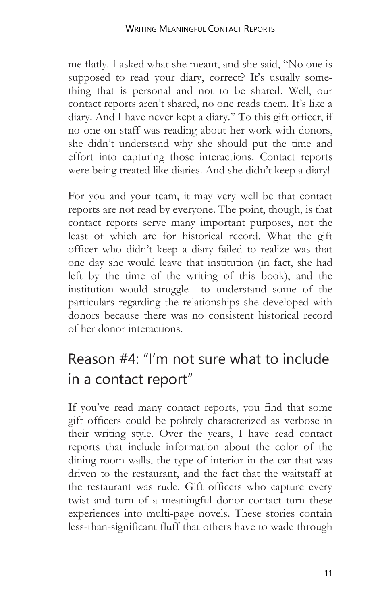me flatly. I asked what she meant, and she said, "No one is supposed to read your diary, correct? It's usually something that is personal and not to be shared. Well, our contact reports aren't shared, no one reads them. It's like a diary. And I have never kept a diary." To this gift officer, if no one on staff was reading about her work with donors, she didn't understand why she should put the time and effort into capturing those interactions. Contact reports were being treated like diaries. And she didn't keep a diary!

For you and your team, it may very well be that contact reports are not read by everyone. The point, though, is that contact reports serve many important purposes, not the least of which are for historical record. What the gift officer who didn't keep a diary failed to realize was that one day she would leave that institution (in fact, she had left by the time of the writing of this book), and the institution would struggle to understand some of the particulars regarding the relationships she developed with donors because there was no consistent historical record of her donor interactions.

### Reason #4: "I'm not sure what to include in a contact report"

If you've read many contact reports, you find that some gift officers could be politely characterized as verbose in their writing style. Over the years, I have read contact reports that include information about the color of the dining room walls, the type of interior in the car that was driven to the restaurant, and the fact that the waitstaff at the restaurant was rude. Gift officers who capture every twist and turn of a meaningful donor contact turn these experiences into multi-page novels. These stories contain less-than-significant fluff that others have to wade through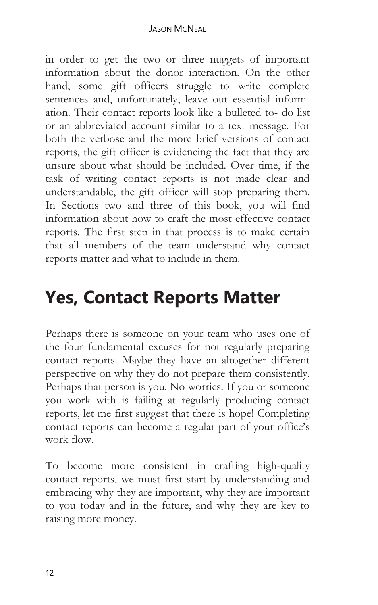in order to get the two or three nuggets of important information about the donor interaction. On the other hand, some gift officers struggle to write complete sentences and, unfortunately, leave out essential information. Their contact reports look like a bulleted to- do list or an abbreviated account similar to a text message. For both the verbose and the more brief versions of contact reports, the gift officer is evidencing the fact that they are unsure about what should be included. Over time, if the task of writing contact reports is not made clear and understandable, the gift officer will stop preparing them. In Sections two and three of this book, you will find information about how to craft the most effective contact reports. The first step in that process is to make certain that all members of the team understand why contact reports matter and what to include in them.

## **Yes, Contact Reports Matter**

Perhaps there is someone on your team who uses one of the four fundamental excuses for not regularly preparing contact reports. Maybe they have an altogether different perspective on why they do not prepare them consistently. Perhaps that person is you. No worries. If you or someone you work with is failing at regularly producing contact reports, let me first suggest that there is hope! Completing contact reports can become a regular part of your office's work flow.

To become more consistent in crafting high-quality contact reports, we must first start by understanding and embracing why they are important, why they are important to you today and in the future, and why they are key to raising more money.